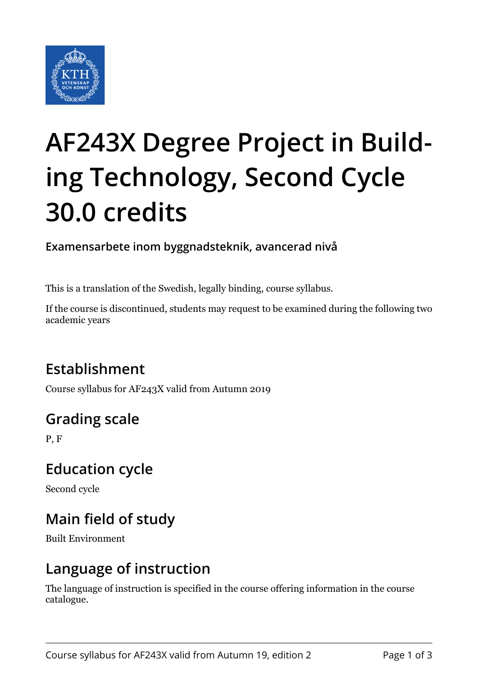

# **AF243X Degree Project in Building Technology, Second Cycle 30.0 credits**

**Examensarbete inom byggnadsteknik, avancerad nivå**

This is a translation of the Swedish, legally binding, course syllabus.

If the course is discontinued, students may request to be examined during the following two academic years

# **Establishment**

Course syllabus for AF243X valid from Autumn 2019

# **Grading scale**

P, F

#### **Education cycle**

Second cycle

# **Main field of study**

Built Environment

#### **Language of instruction**

The language of instruction is specified in the course offering information in the course catalogue.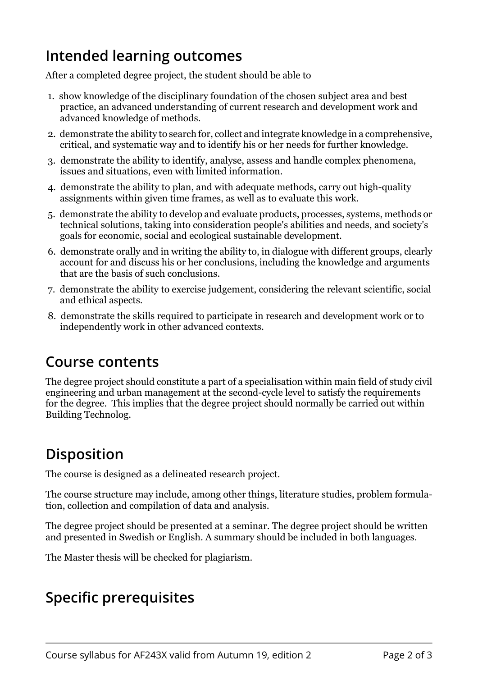## **Intended learning outcomes**

After a completed degree project, the student should be able to

- 1. show knowledge of the disciplinary foundation of the chosen subject area and best practice, an advanced understanding of current research and development work and advanced knowledge of methods.
- 2. demonstrate the ability to search for, collect and integrate knowledge in a comprehensive, critical, and systematic way and to identify his or her needs for further knowledge.
- 3. demonstrate the ability to identify, analyse, assess and handle complex phenomena, issues and situations, even with limited information.
- 4. demonstrate the ability to plan, and with adequate methods, carry out high-quality assignments within given time frames, as well as to evaluate this work.
- 5. demonstrate the ability to develop and evaluate products, processes, systems, methods or technical solutions, taking into consideration people's abilities and needs, and society's goals for economic, social and ecological sustainable development.
- 6. demonstrate orally and in writing the ability to, in dialogue with different groups, clearly account for and discuss his or her conclusions, including the knowledge and arguments that are the basis of such conclusions.
- 7. demonstrate the ability to exercise judgement, considering the relevant scientific, social and ethical aspects.
- 8. demonstrate the skills required to participate in research and development work or to independently work in other advanced contexts.

#### **Course contents**

The degree project should constitute a part of a specialisation within main field of study civil engineering and urban management at the second-cycle level to satisfy the requirements for the degree. This implies that the degree project should normally be carried out within Building Technolog.

# **Disposition**

The course is designed as a delineated research project.

The course structure may include, among other things, literature studies, problem formulation, collection and compilation of data and analysis.

The degree project should be presented at a seminar. The degree project should be written and presented in Swedish or English. A summary should be included in both languages.

The Master thesis will be checked for plagiarism.

#### **Specific prerequisites**